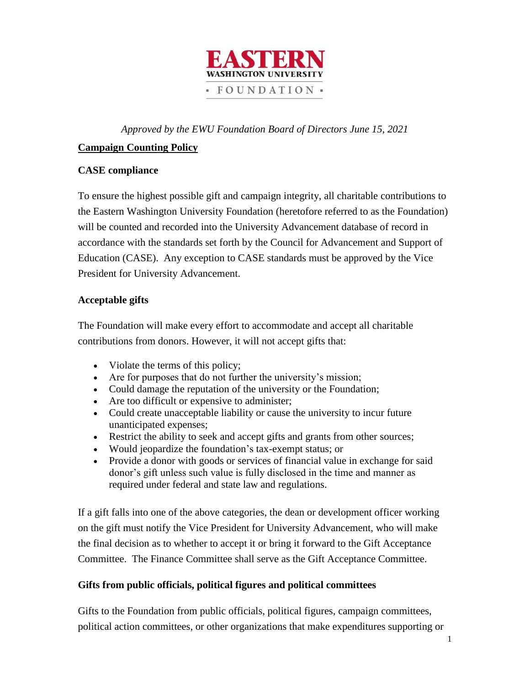

*Approved by the EWU Foundation Board of Directors June 15, 2021*

# **Campaign Counting Policy**

### **CASE compliance**

To ensure the highest possible gift and campaign integrity, all charitable contributions to the Eastern Washington University Foundation (heretofore referred to as the Foundation) will be counted and recorded into the University Advancement database of record in accordance with the standards set forth by the Council for Advancement and Support of Education (CASE). Any exception to CASE standards must be approved by the Vice President for University Advancement.

### **Acceptable gifts**

The Foundation will make every effort to accommodate and accept all charitable contributions from donors. However, it will not accept gifts that:

- Violate the terms of this policy;
- Are for purposes that do not further the university's mission;
- Could damage the reputation of the university or the Foundation;
- Are too difficult or expensive to administer;
- Could create unacceptable liability or cause the university to incur future unanticipated expenses;
- Restrict the ability to seek and accept gifts and grants from other sources;
- Would jeopardize the foundation's tax-exempt status; or
- Provide a donor with goods or services of financial value in exchange for said donor's gift unless such value is fully disclosed in the time and manner as required under federal and state law and regulations.

If a gift falls into one of the above categories, the dean or development officer working on the gift must notify the Vice President for University Advancement, who will make the final decision as to whether to accept it or bring it forward to the Gift Acceptance Committee. The Finance Committee shall serve as the Gift Acceptance Committee.

## **Gifts from public officials, political figures and political committees**

Gifts to the Foundation from public officials, political figures, campaign committees, political action committees, or other organizations that make expenditures supporting or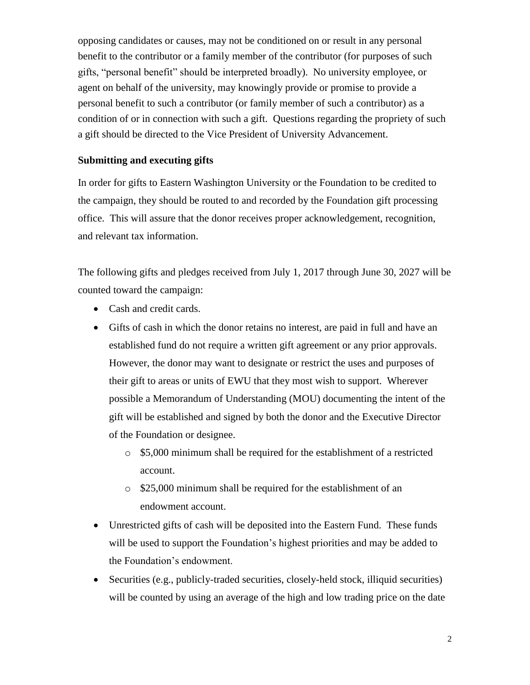opposing candidates or causes, may not be conditioned on or result in any personal benefit to the contributor or a family member of the contributor (for purposes of such gifts, "personal benefit" should be interpreted broadly). No university employee, or agent on behalf of the university, may knowingly provide or promise to provide a personal benefit to such a contributor (or family member of such a contributor) as a condition of or in connection with such a gift. Questions regarding the propriety of such a gift should be directed to the Vice President of University Advancement.

#### **Submitting and executing gifts**

In order for gifts to Eastern Washington University or the Foundation to be credited to the campaign, they should be routed to and recorded by the Foundation gift processing office. This will assure that the donor receives proper acknowledgement, recognition, and relevant tax information.

The following gifts and pledges received from July 1, 2017 through June 30, 2027 will be counted toward the campaign:

- Cash and credit cards.
- Gifts of cash in which the donor retains no interest, are paid in full and have an established fund do not require a written gift agreement or any prior approvals. However, the donor may want to designate or restrict the uses and purposes of their gift to areas or units of EWU that they most wish to support. Wherever possible a Memorandum of Understanding (MOU) documenting the intent of the gift will be established and signed by both the donor and the Executive Director of the Foundation or designee.
	- o \$5,000 minimum shall be required for the establishment of a restricted account.
	- o \$25,000 minimum shall be required for the establishment of an endowment account.
- Unrestricted gifts of cash will be deposited into the Eastern Fund. These funds will be used to support the Foundation's highest priorities and may be added to the Foundation's endowment.
- Securities (e.g., publicly-traded securities, closely-held stock, illiquid securities) will be counted by using an average of the high and low trading price on the date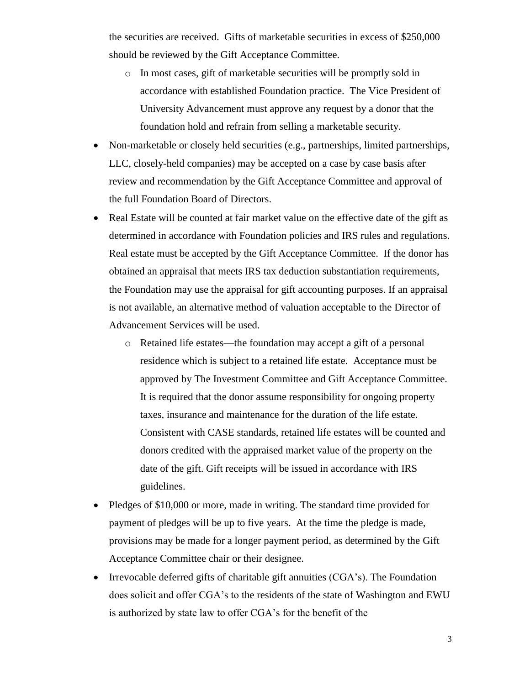the securities are received. Gifts of marketable securities in excess of \$250,000 should be reviewed by the Gift Acceptance Committee.

- o In most cases, gift of marketable securities will be promptly sold in accordance with established Foundation practice. The Vice President of University Advancement must approve any request by a donor that the foundation hold and refrain from selling a marketable security.
- Non-marketable or closely held securities (e.g., partnerships, limited partnerships, LLC, closely-held companies) may be accepted on a case by case basis after review and recommendation by the Gift Acceptance Committee and approval of the full Foundation Board of Directors.
- Real Estate will be counted at fair market value on the effective date of the gift as determined in accordance with Foundation policies and IRS rules and regulations. Real estate must be accepted by the Gift Acceptance Committee. If the donor has obtained an appraisal that meets IRS tax deduction substantiation requirements, the Foundation may use the appraisal for gift accounting purposes. If an appraisal is not available, an alternative method of valuation acceptable to the Director of Advancement Services will be used.
	- o Retained life estates—the foundation may accept a gift of a personal residence which is subject to a retained life estate. Acceptance must be approved by The Investment Committee and Gift Acceptance Committee. It is required that the donor assume responsibility for ongoing property taxes, insurance and maintenance for the duration of the life estate. Consistent with CASE standards, retained life estates will be counted and donors credited with the appraised market value of the property on the date of the gift. Gift receipts will be issued in accordance with IRS guidelines.
- Pledges of \$10,000 or more, made in writing. The standard time provided for payment of pledges will be up to five years. At the time the pledge is made, provisions may be made for a longer payment period, as determined by the Gift Acceptance Committee chair or their designee.
- Irrevocable deferred gifts of charitable gift annuities  $(CGA's)$ . The Foundation does solicit and offer CGA's to the residents of the state of Washington and EWU is authorized by state law to offer CGA's for the benefit of the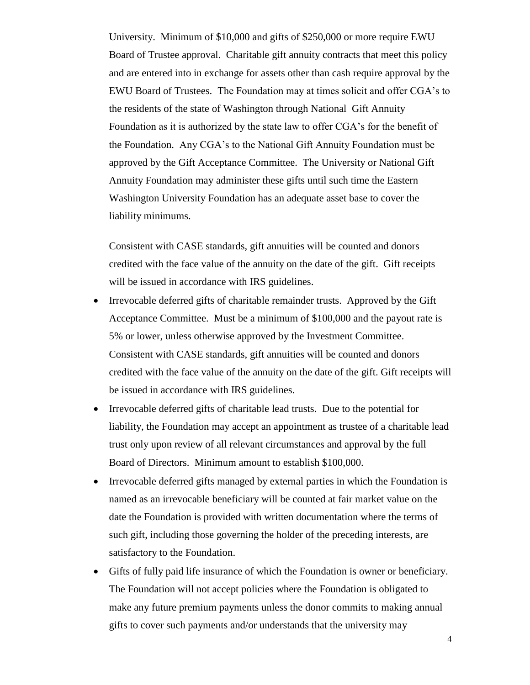University. Minimum of \$10,000 and gifts of \$250,000 or more require EWU Board of Trustee approval. Charitable gift annuity contracts that meet this policy and are entered into in exchange for assets other than cash require approval by the EWU Board of Trustees. The Foundation may at times solicit and offer CGA's to the residents of the state of Washington through National Gift Annuity Foundation as it is authorized by the state law to offer CGA's for the benefit of the Foundation. Any CGA's to the National Gift Annuity Foundation must be approved by the Gift Acceptance Committee. The University or National Gift Annuity Foundation may administer these gifts until such time the Eastern Washington University Foundation has an adequate asset base to cover the liability minimums.

Consistent with CASE standards, gift annuities will be counted and donors credited with the face value of the annuity on the date of the gift. Gift receipts will be issued in accordance with IRS guidelines.

- Irrevocable deferred gifts of charitable remainder trusts. Approved by the Gift Acceptance Committee. Must be a minimum of \$100,000 and the payout rate is 5% or lower, unless otherwise approved by the Investment Committee. Consistent with CASE standards, gift annuities will be counted and donors credited with the face value of the annuity on the date of the gift. Gift receipts will be issued in accordance with IRS guidelines.
- Irrevocable deferred gifts of charitable lead trusts. Due to the potential for liability, the Foundation may accept an appointment as trustee of a charitable lead trust only upon review of all relevant circumstances and approval by the full Board of Directors. Minimum amount to establish \$100,000.
- Irrevocable deferred gifts managed by external parties in which the Foundation is named as an irrevocable beneficiary will be counted at fair market value on the date the Foundation is provided with written documentation where the terms of such gift, including those governing the holder of the preceding interests, are satisfactory to the Foundation.
- Gifts of fully paid life insurance of which the Foundation is owner or beneficiary. The Foundation will not accept policies where the Foundation is obligated to make any future premium payments unless the donor commits to making annual gifts to cover such payments and/or understands that the university may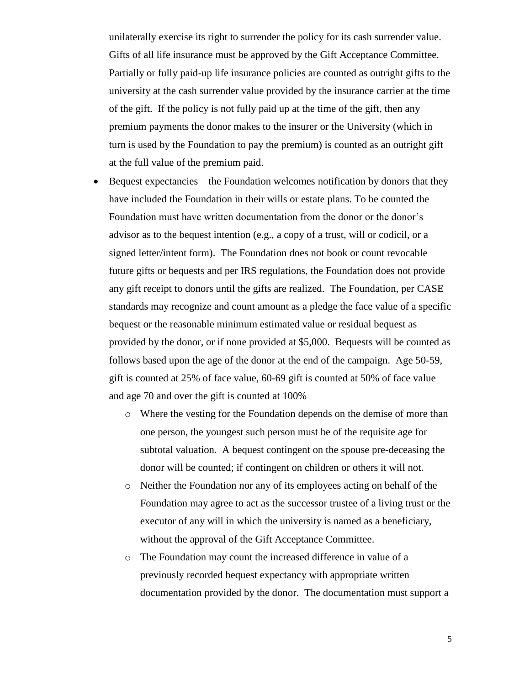unilaterally exercise its right to surrender the policy for its cash surrender value. Gifts of all life insurance must be approved by the Gift Acceptance Committee. Partially or fully paid-up life insurance policies are counted as outright gifts to the university at the cash surrender value provided by the insurance carrier at the time of the gift. If the policy is not fully paid up at the time of the gift, then any premium payments the donor makes to the insurer or the University (which in turn is used by the Foundation to pay the premium) is counted as an outright gift at the full value of the premium paid.

- $\bullet$  Bequest expectancies the Foundation welcomes notification by donors that they have included the Foundation in their wills or estate plans. To be counted the Foundation must have written documentation from the donor or the donor's advisor as to the bequest intention (e.g., a copy of a trust, will or codicil, or a signed letter/intent form). The Foundation does not book or count revocable future gifts or bequests and per IRS regulations, the Foundation does not provide any gift receipt to donors until the gifts are realized. The Foundation, per CASE standards may recognize and count amount as a pledge the face value of a specific bequest or the reasonable minimum estimated value or residual bequest as provided by the donor, or if none provided at \$5,000. Bequests will be counted as follows based upon the age of the donor at the end of the campaign. Age 50-59, gift is counted at 25% of face value, 60-69 gift is counted at 50% of face value and age 70 and over the gift is counted at 100%
	- o Where the vesting for the Foundation depends on the demise of more than one person, the youngest such person must be of the requisite age for subtotal valuation. A bequest contingent on the spouse pre-deceasing the donor will be counted; if contingent on children or others it will not.
	- o Neither the Foundation nor any of its employees acting on behalf of the Foundation may agree to act as the successor trustee of a living trust or the executor of any will in which the university is named as a beneficiary, without the approval of the Gift Acceptance Committee.
	- o The Foundation may count the increased difference in value of a previously recorded bequest expectancy with appropriate written documentation provided by the donor. The documentation must support a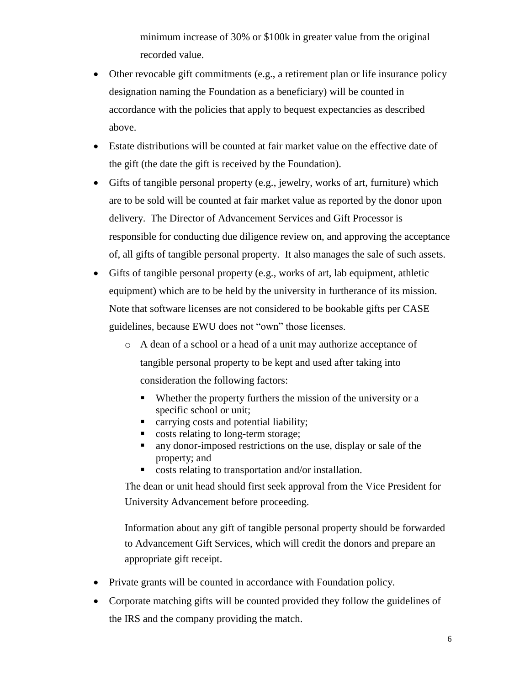minimum increase of 30% or \$100k in greater value from the original recorded value.

- Other revocable gift commitments (e.g., a retirement plan or life insurance policy designation naming the Foundation as a beneficiary) will be counted in accordance with the policies that apply to bequest expectancies as described above.
- Estate distributions will be counted at fair market value on the effective date of the gift (the date the gift is received by the Foundation).
- Gifts of tangible personal property (e.g., jewelry, works of art, furniture) which are to be sold will be counted at fair market value as reported by the donor upon delivery. The Director of Advancement Services and Gift Processor is responsible for conducting due diligence review on, and approving the acceptance of, all gifts of tangible personal property. It also manages the sale of such assets.
- Gifts of tangible personal property (e.g., works of art, lab equipment, athletic equipment) which are to be held by the university in furtherance of its mission. Note that software licenses are not considered to be bookable gifts per CASE guidelines, because EWU does not "own" those licenses.
	- o A dean of a school or a head of a unit may authorize acceptance of tangible personal property to be kept and used after taking into consideration the following factors:
		- Whether the property furthers the mission of the university or a specific school or unit;
		- **Example 2** carrying costs and potential liability;
		- costs relating to long-term storage;
		- any donor-imposed restrictions on the use, display or sale of the property; and
		- **costs relating to transportation and/or installation.**

The dean or unit head should first seek approval from the Vice President for University Advancement before proceeding.

Information about any gift of tangible personal property should be forwarded to Advancement Gift Services, which will credit the donors and prepare an appropriate gift receipt.

- Private grants will be counted in accordance with Foundation policy.
- Corporate matching gifts will be counted provided they follow the guidelines of the IRS and the company providing the match.